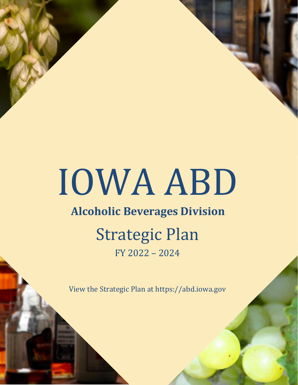# IOWA ABD

# **Alcoholic Beverages Division**

# Strategic Plan FY 2022 – 2024

View the Strategic Plan at https://abd.iowa.gov

Alcoholic Beverages Division — Strategic Plan FY 2022-2024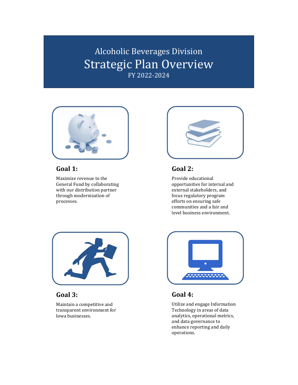# Alcoholic Beverages Division Strategic Plan Overview FY 2022-2024



## **Goal 1:**

Maximize revenue to the General Fund by collaborating with our distribution partner through modernization of processes.



## **Goal 2:**

Provide educational opportunities for internal and external stakeholders, and focus regulatory program efforts on ensuring safe communities and a fair and level business environment.



## **Goal 3:**

Maintain a competitive and transparent environment for Iowa businesses.



## **Goal 4:**

Utilize and engage Information Technology in areas of data analytics, operational metrics, and data governance to enhance reporting and daily operations.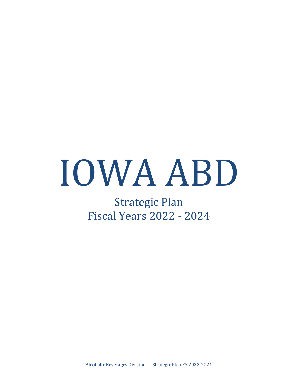# IOWA ABD

# Strategic Plan Fiscal Years 2022 - 2024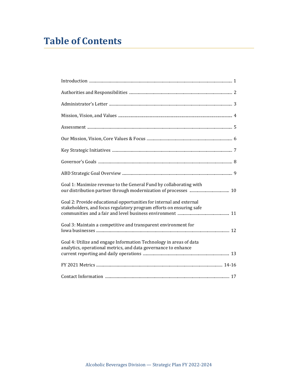# **Table of Contents**

| Goal 1: Maximize revenue to the General Fund by collaborating with                                                                         |  |
|--------------------------------------------------------------------------------------------------------------------------------------------|--|
| Goal 2: Provide educational opportunities for internal and external<br>stakeholders, and focus regulatory program efforts on ensuring safe |  |
| Goal 3: Maintain a competitive and transparent environment for                                                                             |  |
| Goal 4: Utilize and engage Information Technology in areas of data<br>analytics, operational metrics, and data governance to enhance       |  |
|                                                                                                                                            |  |
|                                                                                                                                            |  |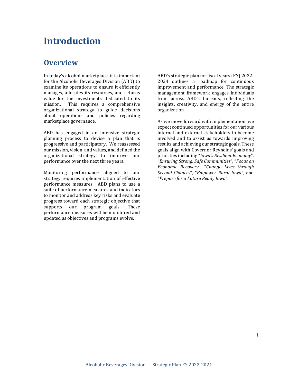# **Introduction**

## **Overview**

In today's alcohol marketplace, it is important for the Alcoholic Beverages Division (ABD) to examine its operations to ensure it efficiently manages, allocates its resources, and returns value for the investments dedicated to its<br>mission. This requires a comprehensive This requires a comprehensive organizational strategy to guide decisions about operations and policies regarding marketplace governance.

ABD has engaged in an intensive strategic planning process to devise a plan that is progressive and participatory. We reassessed our mission, vision, and values, and defined the organizational strategy to improve our performance over the next three years.

Monitoring performance aligned to our strategy requires implementation of effective performance measures. ABD plans to use a suite of performance measures and indicators to monitor and address key risks and evaluate progress toward each strategic objective that<br>supports our program goals. These program goals. performance measures will be monitored and updated as objectives and programs evolve.

ABD's strategic plan for fiscal years (FY) 2022- 2024 outlines a roadmap for continuous improvement and performance. The strategic management framework engages individuals from across ABD's bureaus, reflecting the insights, creativity, and energy of the entire organization.

As we move forward with implementation, we expect continued opportunities for our various internal and external stakeholders to become involved and to assist us towards improving results and achieving our strategic goals. These goals align with Governor Reynolds' goals and priorities including "*Iowa's Resilient Economy*", "*Ensuring Strong, Safe Communities*", "*Focus on Economic Recovery*", "*Change Lives through Second Chances*", "*Empower Rural Iowa*", and "*Prepare for a Future Ready Iowa*".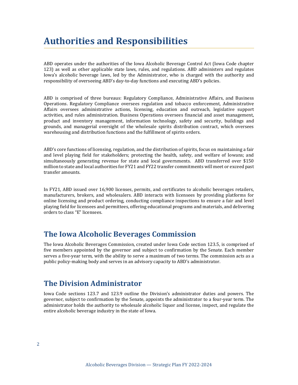<span id="page-5-0"></span>ABD operates under the authorities of the Iowa Alcoholic Beverage Control Act (Iowa Code chapter 123) as well as other applicable state laws, rules, and regulations. ABD administers and regulates Iowa's alcoholic beverage laws, led by the Administrator, who is charged with the authority and responsibility of overseeing ABD's day-to-day functions and executing ABD's policies.

ABD is comprised of three bureaus: Regulatory Compliance, Administrative Affairs, and Business Operations. Regulatory Compliance oversees regulation and tobacco enforcement, Administrative Affairs oversees administrative actions, licensing, education and outreach, legislative support activities, and rules administration. Business Operations oversees financial and asset management, product and inventory management, information technology, safety and security, buildings and grounds, and managerial oversight of the wholesale spirits distribution contract, which oversees warehousing and distribution functions and the fulfillment of spirits orders.

ABD's core functions of licensing, regulation, and the distribution of spirits, focus on maintaining a fair and level playing field for stakeholders; protecting the health, safety, and welfare of Iowans; and simultaneously generating revenue for state and local governments. ABD transferred over \$150 million to state and local authorities for FY21 and FY22 transfer commitments will meet or exceed past transfer amounts.

In FY21, ABD issued over 16,900 licenses, permits, and certificates to alcoholic beverages retailers, manufacturers, brokers, and wholesalers. ABD interacts with licensees by providing platforms for online licensing and product ordering, conducting compliance inspections to ensure a fair and level playing field for licensees and permittees, offering educational programs and materials, and delivering orders to class "E" licensees.

## **The Iowa Alcoholic Beverages Commission**

The Iowa Alcoholic Beverages Commission, created under Iowa Code section 123.5, is comprised of five members appointed by the governor and subject to confirmation by the Senate. Each member serves a five-year term, with the ability to serve a maximum of two terms. The commission acts as a public policy-making body and serves in an advisory capacity to ABD's administrator.

## **The Division Administrator**

Iowa Code sections 123.7 and 123.9 outline the Division's administrator duties and powers. The governor, subject to confirmation by the Senate, appoints the administrator to a four-year term. The administrator holds the authority to wholesale alcoholic liquor and license, inspect, and regulate the entire alcoholic beverage industry in the state of Iowa.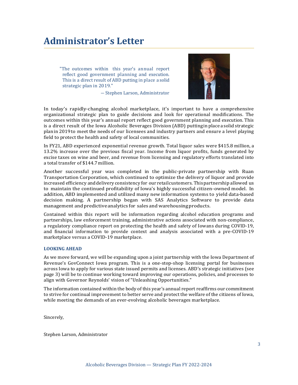# <span id="page-6-0"></span>**Administrator's Letter**

"The outcomes within this year's annual report reflect good government planning and execution. This is a direct result of ABD putting in place a solid strategic plan in 2019."

― Stephen Larson, Administrator



In today's rapidly-changing alcohol marketplace, it's important to have a comprehensive organizational strategic plan to guide decisions and look for operational modifications. The outcomes within this year's annual report reflect good government planning and execution. This is a direct result of the Iowa Alcoholic Beverages Division (ABD) puttingin place asolid strategic planin 2019to meet the needs of our licensees and industry partners and ensure a level playing field to protect the health and safety of local communities.

In FY21, ABD experienced exponential revenue growth. Total liquor sales were \$415.8 million, a 13.2% increase over the previous fiscal year. Income from liquor profits, funds generated by excise taxes on wine and beer, and revenue from licensing and regulatory efforts translated into a total transfer of \$144.7million.

Another successful year was completed in the public-private partnership with Ruan Transportation Corporation, which continued to optimize the delivery of liquor and provide increased efficiency anddelivery consistency for our retailcustomers. Thispartnership allowed us to maintain the continued profitability of Iowa's highly successful citizen-owned model. In addition, ABD implemented and utilized many new information systems to yield data-based decision making. A partnership began with SAS Analytics Software to provide data management and predictive analytics for sales and warehousing products.

Contained within this report will be information regarding alcohol education programs and partnerships, law enforcement training, administrative actions associated with non-compliance, a regulatory compliance report on protecting the health and safety of Iowans during COVID-19, and financial information to provide context and analysis associated with a pre-COVID-19 marketplace versus a COVID-19 marketplace.

#### **LOOKING AHEAD**

As we move forward, we will be expanding upon a joint partnership with the Iowa Department of Revenue's GovConnect Iowa program. This is a one-stop-shop licensing portal for businesses across Iowa to apply for various state issued permits and licenses. ABD's strategic initiatives (see page 3) will be to continue working toward improving our operations, policies, and processes to align with Governor Reynolds' vision of "Unleashing Opportunities."

The information contained within the body of this year's annual report reaffirms our commitment to strive for continual improvement to better serve and protect the welfare of the citizens of Iowa, while meeting the demands of an ever-evolving alcoholic beverages marketplace.

Sincerely,

Stephen Larson, Administrator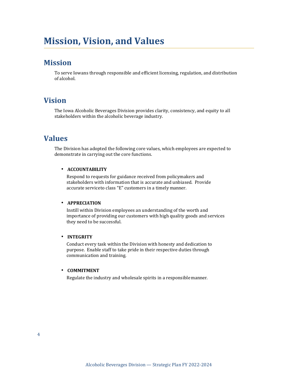# **Mission, Vision, and Values**

## **Mission**

To serve Iowans through responsible and efficient licensing, regulation, and distribution of alcohol.

## **Vision**

The Iowa Alcoholic Beverages Division provides clarity, consistency, and equity to all stakeholders within the alcoholic beverage industry.

## **Values**

The Division has adopted the following core values, which employees are expected to demonstrate in carrying out the core functions.

#### • **ACCOUNTABILITY**

Respond to requests for guidance received from policymakers and stakeholders with information that is accurate and unbiased. Provide accurate serviceto class "E" customers in a timely manner.

#### • **APPRECIATION**

Instill within Division employees an understanding of the worth and importance of providing our customers with high quality goods and services they need to be successful.

#### • **INTEGRITY**

Conduct every task within the Division with honesty and dedication to purpose. Enable staff to take pride in their respective duties through communication and training.

#### • **COMMITMENT**

Regulate the industry and wholesale spirits in a responsible manner.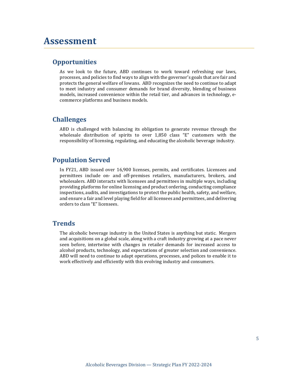# <span id="page-8-0"></span>**Assessment**

#### **Opportunities**

As we look to the future, ABD continues to work toward refreshing our laws, processes, and policies to find ways to align with the governor's goals that are fair and protects the general welfare of Iowans. ABD recognizes the need to continue to adapt to meet industry and consumer demands for brand diversity, blending of business models, increased convenience within the retail tier, and advances in technology, ecommerce platforms and business models.

#### **Challenges**

ABD is challenged with balancing its obligation to generate revenue through the wholesale distribution of spirits to over 1,850 class "E" customers with the responsibility of licensing, regulating, and educating the alcoholic beverage industry.

#### **Population Served**

In FY21, ABD issued over 16,900 licenses, permits, and certificates. Licensees and permittees include on- and off-premises retailers, manufacturers, brokers, and wholesalers. ABD interacts with licensees and permittees in multiple ways, including providing platforms for online licensing and product ordering, conducting compliance inspections, audits, and investigations to protect the public health, safety, and welfare, and ensure a fair and level playing field for all licensees and permittees, and delivering orders to class "E" licensees.

#### **Trends**

The alcoholic beverage industry in the United States is anything but static. Mergers and acquisitions on a global scale, along with a craft industry growing at a pace never seen before, intertwine with changes in retailer demands for increased access to alcohol products, technology, and expectations of greater selection and convenience. ABD will need to continue to adapt operations, processes, and polices to enable it to work effectively and efficiently with this evolving industry and consumers.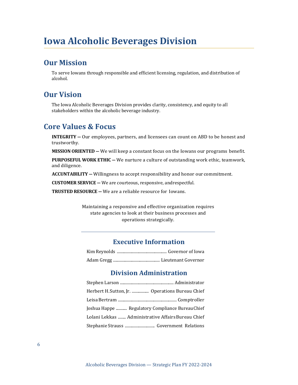# <span id="page-9-0"></span>**Iowa Alcoholic Beverages Division**

## **Our Mission**

To serve Iowans through responsible and efficient licensing, regulation, and distribution of alcohol.

## **Our Vision**

The Iowa Alcoholic Beverages Division provides clarity, consistency, and equity to all stakeholders within the alcoholic beverage industry.

## **Core Values & Focus**

**INTEGRITY ―** Our employees, partners, and licensees can count on ABD to be honest and trustworthy.

**MISSION ORIENTED ―** We will keep a constant focus on the Iowans our programs benefit.

**PURPOSEFUL WORK ETHIC ―** We nurture a culture of outstanding work ethic, teamwork, and diligence.

**ACCUNTABILITY ―** Willingness to accept responsibility and honor ourcommitment.

**CUSTOMER SERVICE ―** We are courteous, responsive, andrespectful.

**TRUSTED RESOURCE ―** We are a reliable resource for Iowans.

Maintaining a responsive and effective organization requires state agencies to look at their business processes and operations strategically.

#### **Executive Information**

|--|--|--|--|--|--|

[Adam Gregg ...............................................](#page-5-0) Lieutenant Governor

#### **Division Administration**

| Herbert H. Sutton, Jr.  Operations Bureau Chief    |  |
|----------------------------------------------------|--|
|                                                    |  |
| Joshua Happe  Regulatory Compliance Bureau Chief   |  |
| Lolani Lekkas  Administrative Affairs Bureau Chief |  |
|                                                    |  |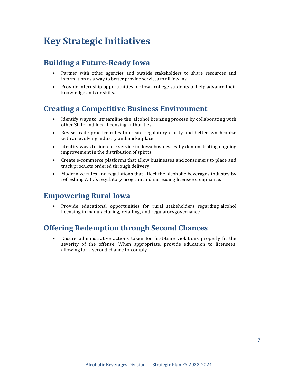## **Building a Future-Ready Iowa**

- Partner with other agencies and outside stakeholders to share resources and information as a way to better provide services to all Iowans.
- Provide internship opportunities for Iowa college students to help advance their knowledge and/or skills.

# **Creating a Competitive Business Environment**

- Identify ways to streamline the alcohol licensing process by collaborating with other State and local licensing authorities.
- Revise trade practice rules to create regulatory clarity and better synchronize with an evolving industry andmarketplace.
- Identify ways to increase service to Iowa businesses by demonstrating ongoing improvement in the distribution of spirits.
- Create e-commerce platforms that allow businesses and consumers to place and track products ordered through delivery.
- Modernize rules and regulations that affect the alcoholic beverages industry by refreshing ABD's regulatory program and increasing licensee compliance.

## **Empowering Rural Iowa**

• Provide educational opportunities for rural stakeholders regarding alcohol licensing in manufacturing, retailing, and regulatorygovernance.

# **Offering Redemption through Second Chances**

• Ensure administrative actions taken for first-time violations properly fit the severity of the offense. When appropriate, provide education to licensees, allowing for a second chance to comply.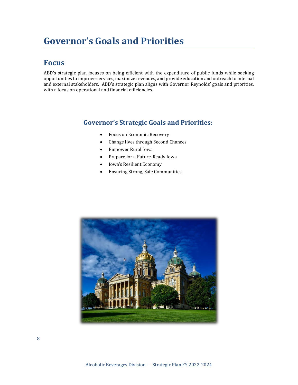# **Governor's Goals and Priorities**

## **Focus**

ABD's strategic plan focuses on being efficient with the expenditure of public funds while seeking opportunities to improve services, maximize revenues, and provide education and outreach to internal and external stakeholders. ABD's strategic plan aligns with Governor Reynolds' goals and priorities, with a focus on operational and financial efficiencies.

#### **Governor's Strategic Goals and Priorities:**

- Focus on Economic Recovery
- Change lives through Second Chances
- Empower Rural Iowa
- Prepare for a Future-Ready Iowa
- Iowa's Resilient Economy
- Ensuring Strong, Safe Communities

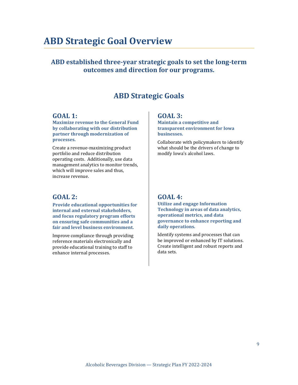# **ABD Strategic Goal Overview**

### **ABD established three-year strategic goals to set the long-term outcomes and direction for our programs.**

## **ABD Strategic Goals**

#### <span id="page-12-0"></span>**GOAL 1:**

**Maximize revenue to the General Fund by collaborating with our distribution partner through modernization of processes.**

Create a revenue-maximizing product portfolio and reduce distribution operating costs. Additionally, use data management analytics to monitor trends, which will improve sales and thus, increase revenue.

#### <span id="page-12-1"></span>**GOAL 2:**

**Provide educational opportunities for internal and external stakeholders, and focus regulatory program efforts on ensuring safe communities and a fair and level business environment.**

Improve compliance through providing reference materials electronically and provide educational training to staff to enhance internal processes.

#### <span id="page-12-2"></span>**GOAL 3:**

**Maintain a competitive and transparent environment for Iowa businesses.**

Collaborate with policymakers to identify what should be the drivers of change to modify Iowa's alcohol laws.

#### **GOAL 4:**

**Utilize and engage Information Technology in areas of data analytics, operational metrics, and data governance to enhance reporting and daily operations.**

Identify systems and processes that can be improved or enhanced by IT solutions. Create intelligent and robust reports and data sets.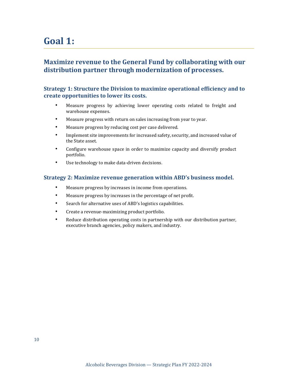# **Goal 1:**

### **Maximize revenue to the General Fund by collaborating with our distribution partner through modernization of processes.**

#### **Strategy 1: Structure the Division to maximize operational efficiency and to create opportunities to lower its costs.**

- Measure progress by achieving lower operating costs related to freight and warehouse expenses.
- Measure progress with return on sales increasing from year to year.
- Measure progress by reducing cost per case delivered.
- Implement site improvements for increased safety, security, and increased value of the State asset.
- Configure warehouse space in order to maximize capacity and diversify product portfolio.
- Use technology to make data-driven decisions.

#### **Strategy 2: Maximize revenue generation within ABD's business model.**

- Measure progress by increases in income from operations.
- Measure progress by increases in the percentage of net profit.
- Search for alternative uses of ABD's logistics capabilities.
- Create a revenue-maximizing product portfolio.
- Reduce distribution operating costs in partnership with our distribution partner, executive branch agencies, policy makers, and industry.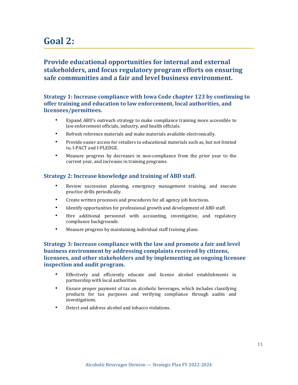# **Goal 2:**

## **Provide educational opportunities for internal and external stakeholders, and focus regulatory program efforts on ensuring safe communities and a fair and level business environment.**

#### **Strategy 1: Increase compliance with Iowa Code chapter 123 by continuing to offer training and education to law enforcement, local authorities, and licensees/permittees.**

- Expand ABD's outreach strategy to make compliance training more accessible to law enforcement officials, industry, and health officials.
- Refresh reference materials and make materials available electronically.
- Provide easier access for retailers to educational materials such as, but not limited to, I-PACT and I-PLEDGE.
- Measure progress by decreases in non-compliance from the prior year to the current year, and increases in training programs.

#### **Strategy 2: Increase knowledge and training of ABD staff.**

- Review succession planning, emergency management training, and execute practice drills periodically.
- Create written processes and procedures for all agency job functions.
- Identify opportunities for professional growth and development of ABD staff.
- Hire additional personnel with accounting, investigative, and regulatory compliance backgrounds.
- Measure progress by maintaining individual staff training plans.

#### **Strategy 3: Increase compliance with the law and promote a fair and level business environment by addressing complaints received by citizens, licensees, and other stakeholders and by implementing an ongoing licensee inspection and audit program.**

- Effectively and efficiently educate and license alcohol establishments in partnership with local authorities.
- Ensure proper payment of tax on alcoholic beverages, which includes classifying products for tax purposes and verifying compliance through audits and investigations.
- Detect and address alcohol and tobacco violations.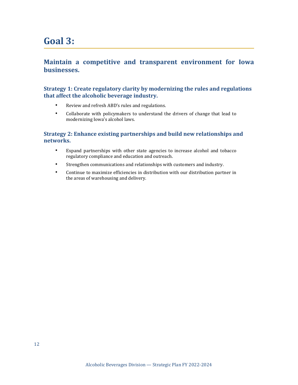# **Goal 3:**

#### **Maintain a competitive and transparent environment for Iowa businesses.**

#### **Strategy 1: Create regulatory clarity by modernizing the rules and regulations that affect the alcoholic beverage industry.**

- Review and refresh ABD's rules and regulations.
- Collaborate with policymakers to understand the drivers of change that lead to modernizing Iowa's alcohol laws.

#### **Strategy 2: Enhance existing partnerships and build new relationships and networks.**

- Expand partnerships with other state agencies to increase alcohol and tobacco regulatory compliance and education and outreach.
- Strengthen communications and relationships with customers and industry.
- Continue to maximize efficiencies in distribution with our distribution partner in the areas of warehousing and delivery.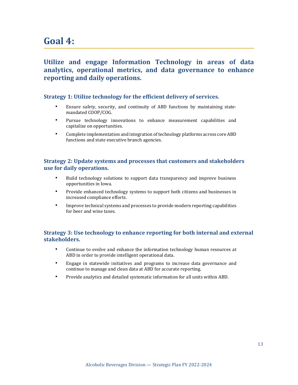# **Goal 4:**

## **Utilize and engage Information Technology in areas of data analytics, operational metrics, and data governance to enhance reporting and daily operations.**

#### **Strategy 1: Utilize technology for the efficient delivery of services.**

- Ensure safety, security, and continuity of ABD functions by maintaining statemandated COOP/COG.
- Pursue technology innovations to enhance measurement capabilities and capitalize on opportunities.
- Complete implementation and integration of technology platforms across core ABD functions and state executive branch agencies.

#### **Strategy 2: Update systems and processes that customers and stakeholders use for daily operations.**

- Build technology solutions to support data transparency and improve business opportunities in Iowa.
- Provide enhanced technology systems to support both citizens and businesses in increased compliance efforts.
- Improve technical systems and processes to provide modern reporting capabilities for beer and wine taxes.

#### **Strategy 3: Use technology to enhance reporting for both internal and external stakeholders.**

- Continue to evolve and enhance the information technology human resources at ABD in order to provide intelligent operational data.
- Engage in statewide initiatives and programs to increase data governance and continue to manage and clean data at ABD for accurate reporting.
- Provide analytics and detailed systematic information for all units within ABD.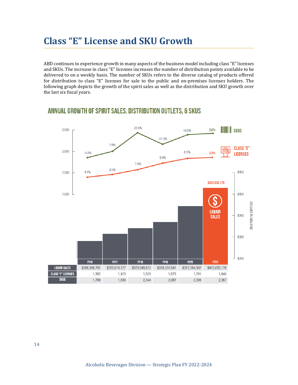# **Class "E" License and SKU Growth**

ABD continues to experience growth in many aspects of the business model including class "E" licenses and SKUs. The increase in class "E" licenses increases the number of distribution points available to be delivered to on a weekly basis. The number of SKUs refers to the diverse catalog of products offered for distribution to class "E" licenses for sale to the public and on-premises licenses holders. The following graph depicts the growth of the spirit sales as well as the distribution and SKU growth over the last six fiscal years.

#### 21.5% 2,500  $2.6%$ **HIIIIII** SKUS 10.5%  $-11.0%$ 7.8% **CLASS "E"** 2,000 6.5%  $-4.0%$ 3.3% **LICENSES**  $9.4%$ 7.4% 4.5% 44% \$450 1,500 \$415,835,178 \$400 1.000 DOLLARS IN MILLIONS **LIQUOR** \$350 **SALES** \$300 \$250 FY16 **FY17 FY18** FY19 **FY20 FY21 LIQUOR SALES** \$288,908,791 \$305,619,127 \$320,049,812 \$339,537,641 \$367,284,902 \$415,835,178 **CLASS "E" LICENSES** 1,673 1,362 1,423 1,529 1,781 1,840 **SKUS** 1,790 1,930 2,087 2,306 2,344 2,367

#### ANNUAL GROWTH OF SPIRIT SALES, DISTRIBUTION OUTLETS, & SKUS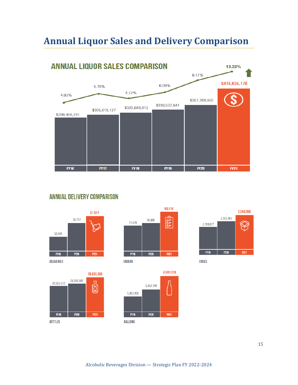# **Annual Liquor Sales and Delivery Comparison**



## **ANNUAL DELIVERY COMPARISON**







**ORDERS** 





**CASES**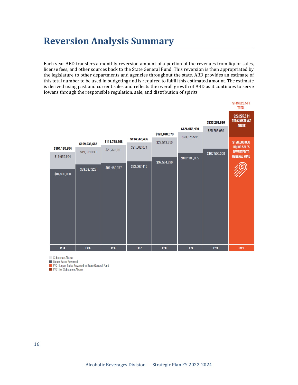# **Reversion Analysis Summary**

Each year ABD transfers a monthly reversion amount of a portion of the revenues from liquor sales, license fees, and other sources back to the State General Fund. This reversion is then appropriated by the legislature to other departments and agencies throughout the state. ABD provides an estimate of this total number to be used in budgeting and is required to fulfill this estimated amount. The estimate is derived using past and current sales and reflects the overall growth of ABD as it continues to serve Iowans through the responsible regulation, sale, and distribution of spirits.

|               |               |               |               |               |               |               | \$149,825,511<br><b>TOTAL</b>                        |
|---------------|---------------|---------------|---------------|---------------|---------------|---------------|------------------------------------------------------|
|               |               |               |               |               |               | \$133,263,936 | \$29,225,511<br><b>FOR SUBSTANCE</b><br><b>ABUSE</b> |
|               |               |               |               | \$120,048,570 | \$126,056,430 | \$25,763,936  |                                                      |
|               | \$109,236,662 | \$111,788,268 | \$114,569,486 | \$22,513,750  | \$23,875,595  |               | \$120,600,000                                        |
| \$104,135,954 | \$19,539,339  | \$20,328,191  | \$21,502,071  |               |               |               | <b>LIQUOR SALES</b><br><b>REVERTED TO</b>            |
| \$19,635,954  |               |               |               |               | \$102,180,835 | \$107,500,000 | <b>GENERAL FUND</b>                                  |
|               | \$89,697,323  | \$91,460,077  | \$93,067,415  | \$97,534,820  |               |               |                                                      |
| \$84,500,000  |               |               |               |               |               |               |                                                      |
|               |               |               |               |               |               |               |                                                      |
|               |               |               |               |               |               |               |                                                      |
|               |               |               |               |               |               |               |                                                      |
|               |               |               |               |               |               |               |                                                      |
|               |               |               |               |               |               |               |                                                      |
|               |               |               |               |               |               |               |                                                      |
|               |               |               |               |               |               |               |                                                      |
|               |               |               |               |               |               |               |                                                      |
| <b>FY14</b>   | <b>FY15</b>   | <b>FY16</b>   | <b>FY17</b>   | <b>FY18</b>   | <b>FY19</b>   | <b>FY20</b>   | <b>FY21</b>                                          |

Substance Abuse

Liquor Sales Reverted

FY21 Liquor Sales Reverted to State General Fund

FY21 for Substance Abuse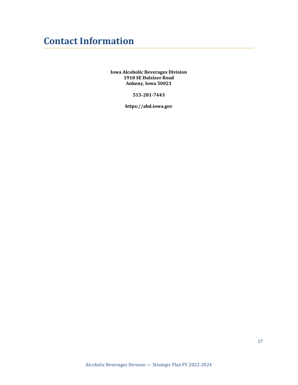# **Contact Information**

**Iowa Alcoholic Beverages Division 1918 SE Hulsizer Road Ankeny, Iowa 50021**

**515-281-7443**

**https://abd.iowa.gov**